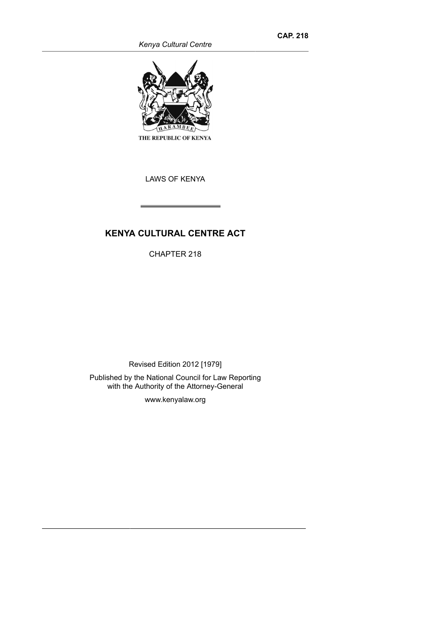*Kenya Cultural Centre*



THE REPUBLIC OF KENYA

LAWS OF KENYA

# **KENYA CULTURAL CENTRE ACT**

CHAPTER 218

Revised Edition 2012 [1979] Published by the National Council for Law Reporting with the Authority of the Attorney-General

www.kenyalaw.org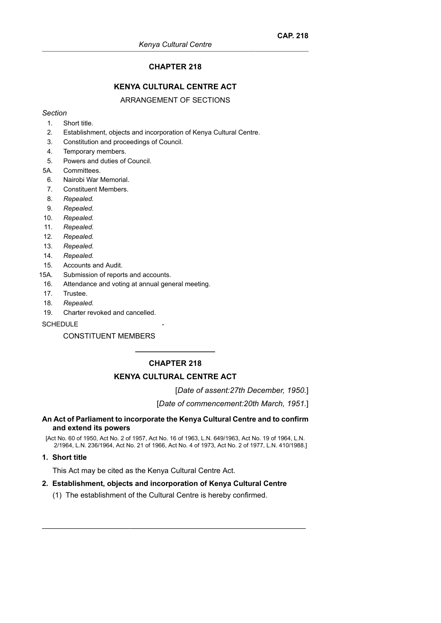# **CHAPTER 218**

# **KENYA CULTURAL CENTRE ACT**

### ARRANGEMENT OF SECTIONS

### *Section*

- 1. Short title.
- 2. Establishment, objects and incorporation of Kenya Cultural Centre.
- 3. Constitution and proceedings of Council.
- 4. Temporary members.
- 5. Powers and duties of Council.
- 5A. Committees.
- 6. Nairobi War Memorial.
- 7. Constituent Members.
- 8. *Repealed.*
- 9. *Repealed.*
- 10. *Repealed.*
- 11. *Repealed.*
- 12. *Repealed.*
- 13. *Repealed.*
- 14. *Repealed.*
- 15. Accounts and Audit.
- 15A. Submission of reports and accounts.
- 16. Attendance and voting at annual general meeting.
- 17. Trustee.
- 18. *Repealed.*
- 19. Charter revoked and cancelled.

### **SCHEDULE**

# CONSTITUENT MEMBERS

# **CHAPTER 218**

# **KENYA CULTURAL CENTRE ACT**

[*Date of assent:27th December, 1950.*]

[*Date of commencement:20th March, 1951.*]

### **An Act of Parliament to incorporate the Kenya Cultural Centre and to confirm and extend its powers**

[Act No. 60 of 1950, Act No. 2 of 1957, Act No. 16 of 1963, L.N. 649/1963, Act No. 19 of 1964, L.N. 2/1964, L.N. 236/1964, Act No. 21 of 1966, Act No. 4 of 1973, Act No. 2 of 1977, L.N. 410/1988.]

### **1. Short title**

This Act may be cited as the Kenya Cultural Centre Act.

# **2. Establishment, objects and incorporation of Kenya Cultural Centre**

(1) The establishment of the Cultural Centre is hereby confirmed.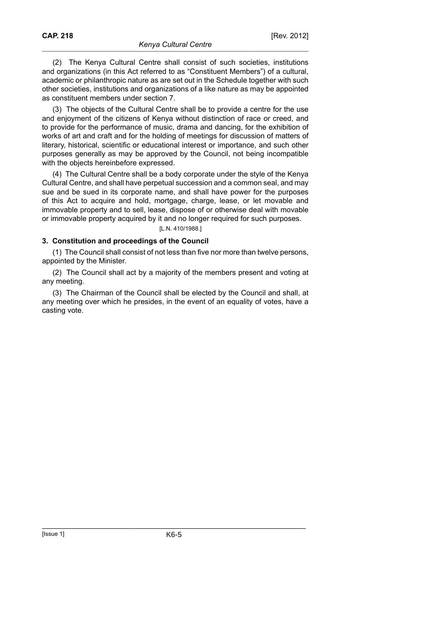(2) The Kenya Cultural Centre shall consist of such societies, institutions and organizations (in this Act referred to as "Constituent Members") of a cultural, academic or philanthropic nature as are set out in the Schedule together with such other societies, institutions and organizations of a like nature as may be appointed as constituent members under section 7.

(3) The objects of the Cultural Centre shall be to provide a centre for the use and enjoyment of the citizens of Kenya without distinction of race or creed, and to provide for the performance of music, drama and dancing, for the exhibition of works of art and craft and for the holding of meetings for discussion of matters of literary, historical, scientific or educational interest or importance, and such other purposes generally as may be approved by the Council, not being incompatible with the objects hereinbefore expressed.

(4) The Cultural Centre shall be a body corporate under the style of the Kenya Cultural Centre, and shall have perpetual succession and a common seal, and may sue and be sued in its corporate name, and shall have power for the purposes of this Act to acquire and hold, mortgage, charge, lease, or let movable and immovable property and to sell, lease, dispose of or otherwise deal with movable or immovable property acquired by it and no longer required for such purposes.

### [L.N. 410/1988.]

### **3. Constitution and proceedings of the Council**

(1) The Council shall consist of not less than five nor more than twelve persons, appointed by the Minister.

(2) The Council shall act by a majority of the members present and voting at any meeting.

(3) The Chairman of the Council shall be elected by the Council and shall, at any meeting over which he presides, in the event of an equality of votes, have a casting vote.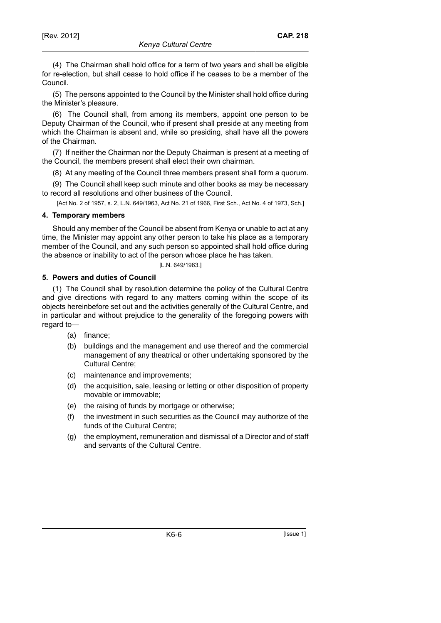for re-election, but shall cease to hold office if he ceases to be a member of the Council.

(5) The persons appointed to the Council by the Minister shall hold office during the Minister's pleasure.

(6) The Council shall, from among its members, appoint one person to be Deputy Chairman of the Council, who if present shall preside at any meeting from which the Chairman is absent and, while so presiding, shall have all the powers of the Chairman.

(7) If neither the Chairman nor the Deputy Chairman is present at a meeting of the Council, the members present shall elect their own chairman.

(8) At any meeting of the Council three members present shall form a quorum.

(9) The Council shall keep such minute and other books as may be necessary to record all resolutions and other business of the Council.

[Act No. 2 of 1957, s. 2, L.N. 649/1963, Act No. 21 of 1966, First Sch., Act No. 4 of 1973, Sch.]

# **4. Temporary members**

Should any member of the Council be absent from Kenya or unable to act at any time, the Minister may appoint any other person to take his place as a temporary member of the Council, and any such person so appointed shall hold office during the absence or inability to act of the person whose place he has taken.

# [L.N. 649/1963.]

# **5. Powers and duties of Council**

(1) The Council shall by resolution determine the policy of the Cultural Centre and give directions with regard to any matters coming within the scope of its objects hereinbefore set out and the activities generally of the Cultural Centre, and in particular and without prejudice to the generality of the foregoing powers with regard to—

- (a) finance;
- (b) buildings and the management and use thereof and the commercial management of any theatrical or other undertaking sponsored by the Cultural Centre;
- (c) maintenance and improvements;
- (d) the acquisition, sale, leasing or letting or other disposition of property movable or immovable;
- (e) the raising of funds by mortgage or otherwise;
- (f) the investment in such securities as the Council may authorize of the funds of the Cultural Centre;
- (g) the employment, remuneration and dismissal of a Director and of staff and servants of the Cultural Centre.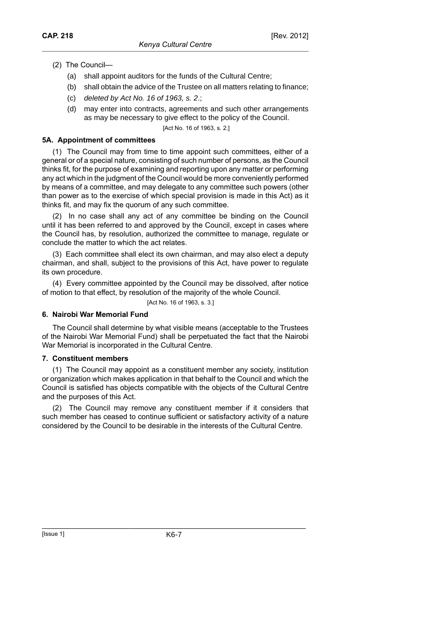- (2) The Council—
	- (a) shall appoint auditors for the funds of the Cultural Centre;
	- (b) shall obtain the advice of the Trustee on all matters relating to finance;
	- (c) deleted by Act No. 16 of 1963, s. 2.;
	- (d) may enter into contracts, agreements and such other arrangements as may be necessary to give effect to the policy of the Council.

[Act No. 16 of 1963, s. 2.]

### **5A. Appointment of committees**

(1) The Council may from time to time appoint such committees, either of a general or of a special nature, consisting of such number of persons, as the Council thinks fit, for the purpose of examining and reporting upon any matter or performing any act which in the judgment of the Council would be more conveniently performed by means of a committee, and may delegate to any committee such powers (other than power as to the exercise of which special provision is made in this Act) as it thinks fit, and may fix the quorum of any such committee.

(2) In no case shall any act of any committee be binding on the Council until it has been referred to and approved by the Council, except in cases where the Council has, by resolution, authorized the committee to manage, regulate or conclude the matter to which the act relates.

(3) Each committee shall elect its own chairman, and may also elect a deputy chairman, and shall, subject to the provisions of this Act, have power to regulate its own procedure.

(4) Every committee appointed by the Council may be dissolved, after notice of motion to that effect, by resolution of the majority of the whole Council.

[Act No. 16 of 1963, s. 3.]

### **6. Nairobi War Memorial Fund**

The Council shall determine by what visible means (acceptable to the Trustees of the Nairobi War Memorial Fund) shall be perpetuated the fact that the Nairobi War Memorial is incorporated in the Cultural Centre.

### **7. Constituent members**

(1) The Council may appoint as a constituent member any society, institution or organization which makes application in that behalf to the Council and which the Council is satisfied has objects compatible with the objects of the Cultural Centre and the purposes of this Act.

(2) The Council may remove any constituent member if it considers that such member has ceased to continue sufficient or satisfactory activity of a nature considered by the Council to be desirable in the interests of the Cultural Centre.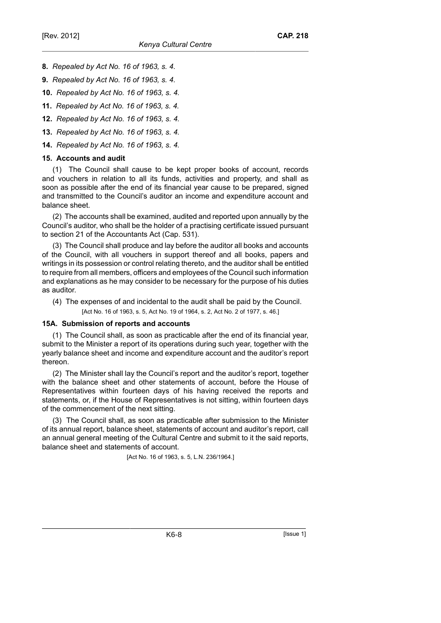- **8.** *Repealed by Act No. 16 of 1963, s. 4.*
- **9.** *Repealed by Act No. 16 of 1963, s. 4.*
- **10.** *Repealed by Act No. 16 of 1963, s. 4.*
- **11.** *Repealed by Act No. 16 of 1963, s. 4.*
- **12.** *Repealed by Act No. 16 of 1963, s. 4.*
- **13.** *Repealed by Act No. 16 of 1963, s. 4.*
- **14.** *Repealed by Act No. 16 of 1963, s. 4.*

# **15. Accounts and audit**

(1) The Council shall cause to be kept proper books of account, records and vouchers in relation to all its funds, activities and property, and shall as soon as possible after the end of its financial year cause to be prepared, signed and transmitted to the Council's auditor an income and expenditure account and balance sheet.

(2) The accounts shall be examined, audited and reported upon annually by the Council's auditor, who shall be the holder of a practising certificate issued pursuant to section 21 of the Accountants Act (Cap. 531).

(3) The Council shall produce and lay before the auditor all books and accounts of the Council, with all vouchers in support thereof and all books, papers and writings in its possession or control relating thereto, and the auditor shall be entitled to require from all members, officers and employees of the Council such information and explanations as he may consider to be necessary for the purpose of his duties as auditor.

(4) The expenses of and incidental to the audit shall be paid by the Council. [Act No. 16 of 1963, s. 5, Act No. 19 of 1964, s. 2, Act No. 2 of 1977, s. 46.]

# **15A. Submission of reports and accounts**

(1) The Council shall, as soon as practicable after the end of its financial year, submit to the Minister a report of its operations during such year, together with the yearly balance sheet and income and expenditure account and the auditor's report thereon.

(2) The Minister shall lay the Council's report and the auditor's report, together with the balance sheet and other statements of account, before the House of Representatives within fourteen days of his having received the reports and statements, or, if the House of Representatives is not sitting, within fourteen days of the commencement of the next sitting.

(3) The Council shall, as soon as practicable after submission to the Minister of its annual report, balance sheet, statements of account and auditor's report, call an annual general meeting of the Cultural Centre and submit to it the said reports, balance sheet and statements of account.

[Act No. 16 of 1963, s. 5, L.N. 236/1964.]